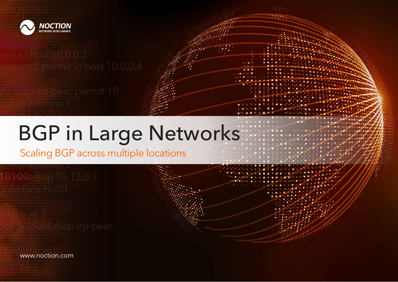

te map irp-peer permit 10

# BGP in Large Networks

Scaling BGP across multiple locations

101001-00 10.12.0.1

www.noction.com

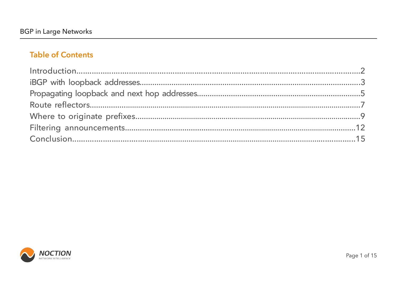# **Table of Contents**



Page 1 of 15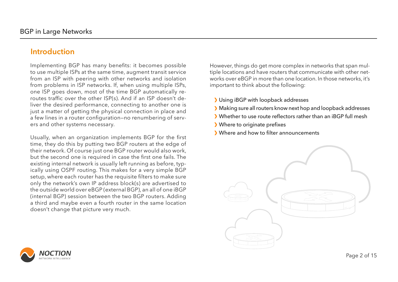Page 2 of 15

- Using iBGP with loopback addresses
- Making sure all routers know next hop and loopback addresses
- Whether to use route reflectors rather than an iBGP full mesh
- Where to originate prefixes
- > Where and how to filter announcements



![](_page_2_Picture_11.jpeg)

However, things do get more complex in networks that span multiple locations and have routers that communicate with other networks over eBGP in more than one location. In those networks, it's important to think about the following:

Implementing BGP has many benefits: it becomes possible to use multiple ISPs at the same time, augment transit service from an ISP with peering with other networks and isolation from problems in ISP networks. If, when using multiple ISPs, one ISP goes down, most of the time BGP automatically reroutes traffic over the other ISP(s). And if an ISP doesn't deliver the desired performance, connecting to another one is just a matter of getting the physical connection in place and a few lines in a router configuration—no renumbering of servers and other systems necessary.

Usually, when an organization implements BGP for the first time, they do this by putting two BGP routers at the edge of their network. Of course just one BGP router would also work, but the second one is required in case the first one fails. The existing internal network is usually left running as before, typically using OSPF routing. This makes for a very simple BGP setup, where each router has the requisite filters to make sure only the network's own IP address block(s) are advertised to the outside world over eBGP (external BGP), an all of one iBGP (internal BGP) session between the two BGP routers. Adding a third and maybe even a fourth router in the same location doesn't change that picture very much.

### **Introduction**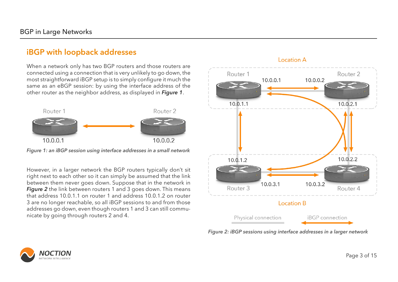Page 3 of 15

When a network only has two BGP routers and those routers are connected using a connection that is very unlikely to go down, the most straightforward iBGP setup is to simply configure it much the same as an eBGP session: by using the interface address of the other router as the neighbor address, as displayed in *Figure 1*.

However, in a larger network the BGP routers typically don't sit right next to each other so it can simply be assumed that the link between them never goes down. Suppose that in the network in *Figure 2* the link between routers 1 and 3 goes down. This means that address 10.0.1.1 on router 1 and address 10.0.1.2 on router 3 are no longer reachable, so all iBGP sessions to and from those addresses go down, even though routers 1 and 3 can still communicate by going through routers 2 and 4.

![](_page_3_Figure_3.jpeg)

*Figure 1: an iBGP session using interface addresses in a small network*

![](_page_3_Figure_6.jpeg)

*Figure 2: iBGP sessions using interface addresses in a larger network*

![](_page_3_Picture_8.jpeg)

### **iBGP with loopback addresses**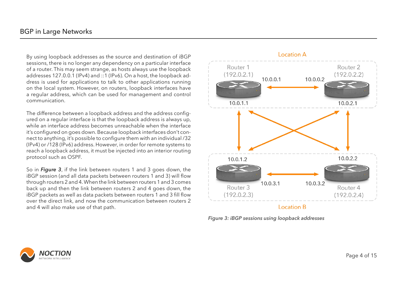Page 4 of 15

By using loopback addresses as the source and destination of iBGP sessions, there is no longer any dependency on a particular interface of a router. This may seem strange, as hosts always use the loopback addresses 127.0.0.1 (IPv4) and ::1 (IPv6). On a host, the loopback address is used for applications to talk to other applications running on the local system. However, on routers, loopback interfaces have a regular address, which can be used for management and control communication.

The difference between a loopback address and the address configured on a regular interface is that the loopback address is always up, while an interface address becomes unreachable when the interface it's configured on goes down. Because loopback interfaces don't connect to anything, it's possible to configure them with an individual /32 (IPv4) or /128 (IPv6) address. However, in order for remote systems to reach a loopback address, it must be injected into an interior routing protocol such as OSPF.

So in *Figure 3*, if the link between routers 1 and 3 goes down, the iBGP session (and all data packets between routers 1 and 3) will flow through routers 2 and 4. When the link between routers 1 and 3 comes back up and then the link between routers 2 and 4 goes down, the iBGP packets as well as data packets between routers 1 and 3 fill flow over the direct link, and now the communication between routers 2 and 4 will also make use of that path.

![](_page_4_Figure_4.jpeg)

*Figure 3: iBGP sessions using loopback addresses*

![](_page_4_Picture_6.jpeg)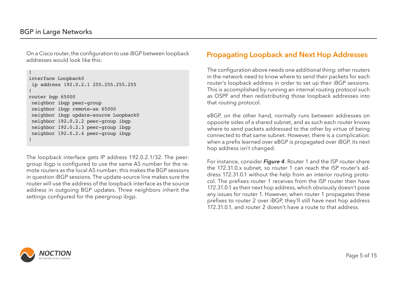#### Page 5 of 15

On a Cisco router, the configuration to use iBGP between loopback addresses would look like this:

The loopback interface gets IP address 192.0.2.1/32. The peergroup ibgp is configured to use the same AS number for the remote routers as the local AS number; this makes the BGP sessions in question iBGP sessions. The update-source line makes sure the router will use the address of the loopback interface as the source address in outgoing BGP updates. Three neighbors inherit the settings configured for the peergroup ibgp.

The configuration above needs one additional thing: other routers in the network need to know where to send their packets for each router's loopback address in order to set up their iBGP sessions. This is accomplished by running an internal routing protocol such as OSPF and then redistributing those loopback addresses into that routing protocol.

eBGP, on the other hand, normally runs between addresses on opposite sides of a shared subnet, and as such each router knows where to send packets addressed to the other by virtue of being connected to that same subnet. However, there is a complication: when a prefix learned over eBGP is propagated over iBGP, its next hop address isn't changed.

For instance, consider *Figure 4*. Router 1 and the ISP router share the 172.31.0.x subnet, so router 1 can reach the ISP router's address 172.31.0.1 without the help from an interior routing protocol. The prefixes router 1 receives from the ISP router then have 172.31.0.1 as their next hop address, which obviously doesn't pose any issues for router 1. However, when router 1 propagates these prefixes to router 2 over iBGP, they'll still have next hop address 172.31.0.1, and router 2 doesn't have a route to that address.

![](_page_5_Picture_8.jpeg)

```
!
interface Loopback0
 ip address 192.0.2.1 255.255.255.255
!
router bgp 65000
 neighbor ibgp peer-group
 neighbor ibgp remote-as 65000
 neighbor ibgp update-source Loopback0
 neighbor 192.0.2.2 peer-group ibgp
 neighbor 192.0.2.3 peer-group ibgp
 neighbor 192.0.2.4 peer-group ibgp
!
```
#### **Propagating Loopback and Next Hop Addresses**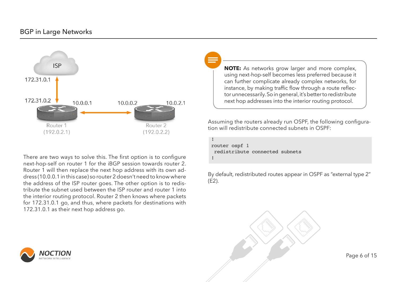Page 6 of 15

#### BGP in Large Networks

![](_page_6_Figure_1.jpeg)

There are two ways to solve this. The first option is to configure next-hop-self on router 1 for the iBGP session towards router 2. Router 1 will then replace the next hop address with its own address (10.0.0.1 in this case) so router 2 doesn't need to know where the address of the ISP router goes. The other option is to redistribute the subnet used between the ISP router and router 1 into the interior routing protocol. Router 2 then knows where packets for 172.31.0.1 go, and thus, where packets for destinations with 172.31.0.1 as their next hop address go.

![](_page_6_Picture_3.jpeg)

Assuming the routers already run OSPF, the following configuration will redistribute connected subnets in OSPF:

By default, redistributed routes appear in OSPF as "external type 2" (E2).

![](_page_6_Figure_8.jpeg)

**NOTE:** As networks grow larger and more complex, using next-hop-self becomes less preferred because it can further complicate already complex networks, for instance, by making traffic flow through a route reflector unnecessarily. So in general, it's better to redistribute next hop addresses into the interior routing protocol.

! router ospf 1 redistribute connected subnets !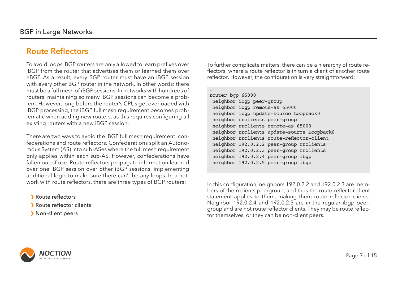Page 7 of 15

To avoid loops, BGP routers are only allowed to learn prefixes over iBGP from the router that advertises them or learned them over eBGP. As a result, every BGP router must have an iBGP session with every other BGP router in the network. In other words: there must be a full mesh of iBGP sessions. In networks with hundreds of routers, maintaining so many iBGP sessions can become a problem. However, long before the router's CPUs get overloaded with iBGP processing, the iBGP full mesh requirement becomes problematic when adding new routers, as this requires configuring all existing routers with a new iBGP session.

- Route reflectors
- Route reflector clients
- > Non-client peers

![](_page_7_Picture_7.jpeg)

There are two ways to avoid the iBGP full mesh requirement: confederations and route reflectors. Confederations split an Autonomous System (AS) into sub-ASes where the full mesh requirement only applies within each sub-AS. However, confederations have fallen out of use. Route reflectors propagate information learned over one iBGP session over other iBGP sessions, implementing additional logic to make sure there can't be any loops. In a network with route reflectors, there are three types of BGP routers:

To further complicate matters, there can be a hierarchy of route reflectors, where a route reflector is in turn a client of another route reflector. However, the configuration is very straightforward:

In this configuration, neighbors 192.0.2.2 and 192.0.2.3 are members of the rrclients peergroup, and thus the route-reflector-client statement applies to them, making them route reflector clients. Neighbor 192.0.2.4 and 192.0.2.5 are in the regular ibgp peergroup and are not route reflector clients. They may be route reflector themselves, or they can be non-client peers.

# **Route Reflectors**

! router bgp 65000 neighbor ibgp peer-group neighbor ibgp remote-as 65000 neighbor ibgp update-source Loopback0 neighbor rrclients peer-group neighbor rrclients remote-as 65000 neighbor rrclients update-source Loopback0 neighbor rrclients route-reflector-client neighbor 192.0.2.2 peer-group rrclients neighbor 192.0.2.3 peer-group rrclients neighbor 192.0.2.4 peer-group ibgp neighbor 192.0.2.5 peer-group ibgp !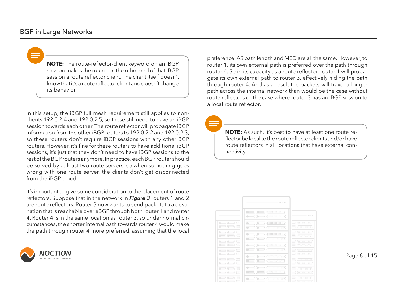Page 8 of 15

#### BGP in Large Networks

**NOTE:** The route-reflector-client keyword on an iBGP session makes the router on the other end of that iBGP session a route reflector client. The client itself doesn't know that it's a route reflector client and doesn't change its behavior.

> **NOTE:** As such, it's best to have at least one route reflector be local to the route reflector clients and/or have route reflectors in all locations that have external connectivity.

![](_page_8_Picture_8.jpeg)

![](_page_8_Picture_9.jpeg)

In this setup, the iBGP full mesh requirement still applies to nonclients 192.0.2.4 and 192.0.2.5, so these still need to have an iBGP session towards each other. The route reflector will propagate iBGP information from the other iBGP routers to 192.0.2.2 and 192.0.2.3, so these routers don't require iBGP sessions with any other BGP routers. However, it's fine for these routers to have additional iBGP sessions, it's just that they don't need to have iBGP sessions to the rest of the BGP routers anymore. In practice, each BGP router should be served by at least two route servers, so when something goes wrong with one route server, the clients don't get disconnected from the iBGP cloud.

It's important to give some consideration to the placement of route reflectors. Suppose that in the network in *Figure 3* routers 1 and 2 are route reflectors. Router 3 now wants to send packets to a destination that is reachable over eBGP through both router 1 and router 4. Router 4 is in the same location as router 3, so under normal circumstances, the shorter internal path towards router 4 would make the path through router 4 more preferred, assuming that the local

![](_page_8_Picture_5.jpeg)

preference, AS path length and MED are all the same. However, to router 1, its own external path is preferred over the path through router 4. So in its capacity as a route reflector, router 1 will propagate its own external path to router 3, effectively hiding the path through router 4. And as a result the packets will travel a longer path across the internal network than would be the case without route reflectors or the case where router 3 has an iBGP session to a local route reflector.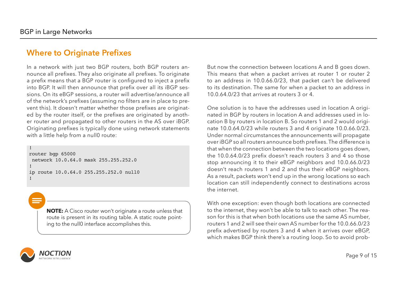Page 9 of 15

But now the connection between locations A and B goes down. This means that when a packet arrives at router 1 or router 2 to an address in 10.0.66.0/23, that packet can't be delivered to its destination. The same for when a packet to an address in 10.0.64.0/23 that arrives at routers 3 or 4.

One solution is to have the addresses used in location A originated in BGP by routers in location A and addresses used in location B by routers in location B. So routers 1 and 2 would originate 10.0.64.0/23 while routers 3 and 4 originate 10.0.66.0/23. Under normal circumstances the announcements will propagate over iBGP so all routers announce both prefixes. The difference is that when the connection between the two locations goes down, the 10.0.64.0/23 prefix doesn't reach routers 3 and 4 so those stop announcing it to their eBGP neighbors and 10.0.66.0/23 doesn't reach routers 1 and 2 and thus their eBGP neighbors. As a result, packets won't end up in the wrong locations so each location can still independently connect to destinations across the internet.

In a network with just two BGP routers, both BGP routers announce all prefixes. They also originate all prefixes. To originate a prefix means that a BGP router is configured to inject a prefix into BGP. It will then announce that prefix over all its iBGP sessions. On its eBGP sessions, a router will advertise/announce all of the network's prefixes (assuming no filters are in place to prevent this). It doesn't matter whether those prefixes are originated by the router itself, or the prefixes are originated by another router and propagated to other routers in the AS over iBGP. Originating prefixes is typically done using network statements with a little help from a null0 route:

> With one exception: even though both locations are connected to the internet, they won't be able to talk to each other. The reason for this is that when both locations use the same AS number, routers 1 and 2 will see their own AS number for the 10.0.66.0/23 prefix advertised by routers 3 and 4 when it arrives over eBGP, which makes BGP think there's a routing loop. So to avoid prob-

**NOTE:** A Cisco router won't originate a route unless that route is present in its routing table. A static route pointing to the null0 interface accomplishes this.

![](_page_9_Picture_5.jpeg)

# **Where to Originate Prefixes**

```
!
router bgp 65000
  network 10.0.64.0 mask 255.255.252.0
!
ip route 10.0.64.0 255.255.252.0 null0
!
```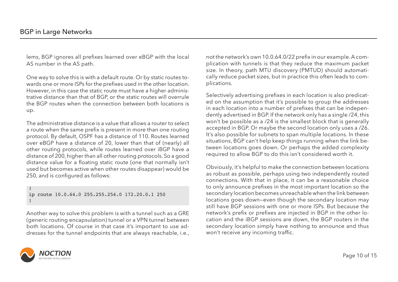Page 10 of 15

One way to solve this is with a default route. Or by static routes towards one or more ISPs for the prefixes used in the other location. However, in this case the static route must have a higher administrative distance than that of BGP, or the static routes will overrule the BGP routes when the connection between both locations is up.

The administrative distance is a value that allows a router to select a route when the same prefix is present in more than one routing protocol. By default, OSPF has a distance of 110. Routes learned over eBGP have a distance of 20, lower than that of (nearly) all other routing protocols, while routes learned over iBGP have a distance of 200, higher than all other routing protocols. So a good distance value for a floating static route (one that normally isn't used but becomes active when other routes disappear) would be 250, and is configured as follows:

Another way to solve this problem is with a tunnel such as a GRE (generic routing encapsulation) tunnel or a VPN tunnel between both locations. Of course in that case it's important to use addresses for the tunnel endpoints that are always reachable, i.e.,

![](_page_10_Picture_6.jpeg)

Selectively advertising prefixes in each location is also predicated on the assumption that it's possible to group the addresses in each location into a number of prefixes that can be independently advertised in BGP. If the network only has a single /24, this won't be possible as a /24 is the smallest block that is generally accepted in BGP. Or maybe the second location only uses a /26. It's also possible for subnets to span multiple locations. In these situations, BGP can't help keep things running when the link between locations goes down. Or perhaps the added complexity required to allow BGP to do this isn't considered worth it.

Obviously, it's helpful to make the connection between locations as robust as possible, perhaps using two independently routed connections. With that in place, it can be a reasonable choice to only announce prefixes in the most important location so the secondary location becomes unreachable when the link between locations goes down—even though the secondary location may still have BGP sessions with one or more ISPs. But because the network's prefix or prefixes are injected in BGP in the other location and the iBGP sessions are down, the BGP routers in the secondary location simply have nothing to announce and thus won't receive any incoming traffic.

!

ip route 10.0.64.0 255.255.254.0 172.20.0.1 250 !

not the network's own 10.0.64.0/22 prefix in our example. A complication with tunnels is that they reduce the maximum packet size. In theory, path MTU discovery (PMTUD) should automatically reduce packet sizes, but in practice this often leads to complications.

lems, BGP ignores all prefixes learned over eBGP with the local AS number in the AS path.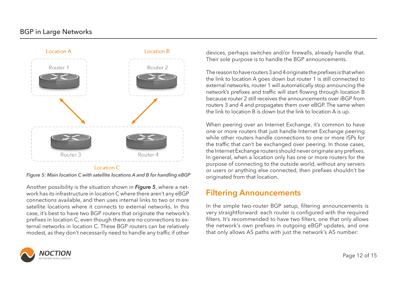#### BGP in Large Networks

Another possibility is the situation shown in *Figure 5*, where a network has its infrastructure in location C where there aren't any eBGP connections available, and then uses internal links to two or more satellite locations where it connects to external networks. In this case, it's best to have two BGP routers that originate the network's prefixes in location C, even though there are no connections to external networks in location C. These BGP routers can be relatively modest, as they don't necessarily need to handle any traffic if other

![](_page_11_Picture_4.jpeg)

devices, perhaps switches and/or firewalls, already handle that. Their sole purpose is to handle the BGP announcements.

The reason to have routers 3 and 4 originate the prefixes is that when the link to location A goes down but router 1 is still connected to external networks, router 1 will automatically stop announcing the network's prefixes and traffic will start flowing through location B because router 2 still receives the announcements over iBGP from routers 3 and 4 and propagates them over eBGP. The same when the link to location B is down but the link to location A is up.

When peering over an Internet Exchange, it's common to have one or more routers that just handle Internet Exchange peering while other routers handle connections to one or more ISPs for the traffic that can't be exchanged over peering. In those cases, the Internet Exchange routers should never originate any prefixes. In general, when a location only has one or more routers for the purpose of connecting to the outside world, without any servers or users or anything else connected, then prefixes shouldn't be originated from that location.

In the simple two-router BGP setup, filtering announcements is very straightforward: each router is configured with the required filters. It's recommended to have two filters, one that only allows the network's own prefixes in outgoing eBGP updates, and one that only allows AS paths with just the network's AS number:

# **Filtering Announcements**

![](_page_11_Figure_1.jpeg)

*Figure 5: Main location C with satellite locations A and B for handling eBGP*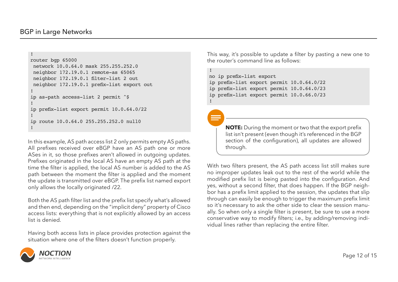Page 12 of 15

#### BGP in Large Networks

In this example, AS path access list 2 only permits empty AS paths. All prefixes received over eBGP have an AS path one or more ASes in it, so those prefixes aren't allowed in outgoing updates. Prefixes originated in the local AS have an empty AS path at the time the filter is applied, the local AS number is added to the AS path between the moment the filter is applied and the moment the update is transmitted over eBGP. The prefix list named export only allows the locally originated /22.

Both the AS path filter list and the prefix list specify what's allowed and then end, depending on the "implicit deny" property of Cisco access lists: everything that is not explicitly allowed by an access list is denied.

Having both access lists in place provides protection against the situation where one of the filters doesn't function properly.

![](_page_12_Picture_5.jpeg)

This way, it's possible to update a filter by pasting a new one to the router's command line as follows:

With two filters present, the AS path access list still makes sure no improper updates leak out to the rest of the world while the modified prefix list is being pasted into the configuration. And yes, without a second filter, that does happen. If the BGP neighbor has a prefix limit applied to the session, the updates that slip through can easily be enough to trigger the maximum prefix limit so it's necessary to ask the other side to clear the session manually. So when only a single filter is present, be sure to use a more conservative way to modify filters; i.e., by adding/removing individual lines rather than replacing the entire filter.

```
!
router bgp 65000
  network 10.0.64.0 mask 255.255.252.0
  neighbor 172.19.0.1 remote-as 65065
 neighbor 172.19.0.1 filter-list 2 out
  neighbor 172.19.0.1 prefix-list export out
!
ip as-path access-list 2 permit ^$
!
ip prefix-list export permit 10.0.64.0/22
!
ip route 10.0.64.0 255.255.252.0 null0
!
```

```
!
no ip prefix-list export
ip prefix-list export permit 10.0.64.0/22
ip prefix-list export permit 10.0.64.0/23
ip prefix-list export permit 10.0.66.0/23
!
```
**NOTE:** During the moment or two that the export prefix list isn't present (even though it's referenced in the BGP section of the configuration), all updates are allowed through.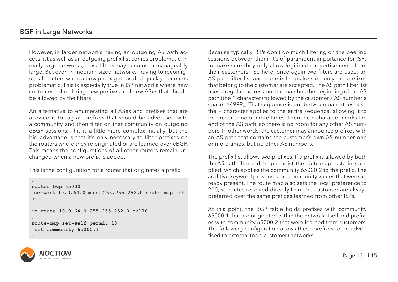However, in larger networks having an outgoing AS path access list as well as an outgoing prefix list comes problematic. In really large networks, those filters may become unmanageably large. But even in medium-sized networks, having to reconfigure all routers when a new prefix gets added quickly becomes problematic. This is especially true in ISP networks where new customers often bring new prefixes and new ASes that should be allowed by the filters.

An alternative to enumerating all ASes and prefixes that are allowed is to tag all prefixes that should be advertised with a community and then filter on that community on outgoing eBGP sessions. This is a little more complex initially, but the big advantage is that it's only necessary to filter prefixes on the routers where they're originated or are learned over eBGP. This means the configurations of all other routers remain unchanged when a new prefix is added.

This is the configuration for a router that originates a prefix:

Because typically, ISPs don't do much filtering on the peering sessions between them, it's of paramount importance for ISPs to make sure they only allow legitimate advertisements from their customers. So here, once again two filters are used: an AS path filter list and a prefix list make sure only the prefixes that belong to the customer are accepted. The AS path filter list uses a regular expression that matches the beginning of the AS path (the ^ character) followed by the customer's AS number a space: 64999\_. That sequence is put between parentheses so the + character applies to the entire sequence, allowing it to be present one or more times. Then the \$ character marks the end of the AS path, so there is no room for any other AS numbers. In other words: the customer may announce prefixes with an AS path that contains the customer's own AS number one or more times, but no other AS numbers.

The prefix list allows two prefixes. If a prefix is allowed by both the AS path filter and the prefix list, the route map custa-in is applied, which applies the community 65000:2 to the prefix. The additive keyword preserves the community values that were already present. The route map also sets the local preference to 200, so routes received directly from the customer are always preferred over the same prefixes learned from other ISPs.

At this point, the BGP table holds prefixes with community 65000:1 that are originated within the network itself and prefixes with community 65000:2 that were learned from customers. The following configuration allows these prefixes to be advertised to external (non-customer) networks.

![](_page_13_Picture_8.jpeg)

```
!
router bgp 65000
 network 10.0.64.0 mask 255.255.252.0 route-map set-
self
!
ip route 10.0.64.0 255.255.252.0 null0
!
route-map set-self permit 10
  set community 65000:1
!
```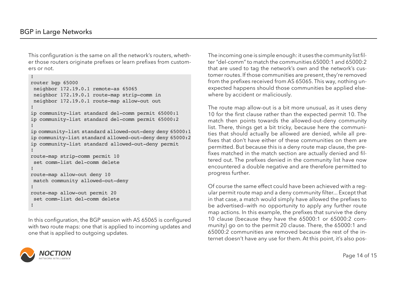Page 14 of 15

This configuration is the same on all the network's routers, whether those routers originate prefixes or learn prefixes from customers or not.

```
!
router bgp 65000
 neighbor 172.19.0.1 remote-as 65065
 neighbor 172.19.0.1 route-map strip-comm in
 neighbor 172.19.0.1 route-map allow-out out
!
ip community-list standard del-comm permit 65000:1
ip community-list standard del-comm permit 65000:2
!
ip community-list standard allowed-out-deny deny 65000:1
ip community-list standard allowed-out-deny deny 65000:2
ip community-list standard allowed-out-deny permit
!
route-map strip-comm permit 10
 set comm-list del-comm delete
!
route-map allow-out deny 10
 match community allowed-out-deny
!
route-map allow-out permit 20
 set comm-list del-comm delete
!
```
![](_page_14_Picture_4.jpeg)

The route map allow-out is a bit more unusual, as it uses deny 10 for the first clause rather than the expected permit 10. The match then points towards the allowed-out-deny community list. There, things get a bit tricky, because here the communities that should actually be allowed are denied, while all prefixes that don't have either of these communities on them are permitted. But because this is a deny route map clause, the prefixes matched in the match section are actually denied and filtered out. The prefixes denied in the community list have now encountered a double negative and are therefore permitted to progress further.

Of course the same effect could have been achieved with a regular permit route map and a deny community filter... Except that in that case, a match would simply have allowed the prefixes to be advertised—with no opportunity to apply any further route map actions. In this example, the prefixes that survive the deny 10 clause (because they have the 65000:1 or 65000:2 community) go on to the permit 20 clause. There, the 65000:1 and 65000:2 communities are removed because the rest of the internet doesn't have any use for them. At this point, it's also pos-

![](_page_14_Picture_7.jpeg)

In this configuration, the BGP session with AS 65065 is configured with two route maps: one that is applied to incoming updates and one that is applied to outgoing updates.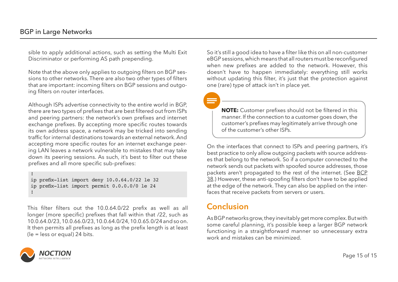Page 15 of 15

! ip prefix-list import deny 10.0.64.0/22 le 32 ip prefix-list import permit 0.0.0.0/0 le 24 !

sible to apply additional actions, such as setting the Multi Exit Discriminator or performing AS path prepending.

Note that the above only applies to outgoing filters on BGP sessions to other networks. There are also two other types of filters that are important: incoming filters on BGP sessions and outgoing filters on router interfaces.

Although ISPs advertise connectivity to the entire world in BGP, there are two types of prefixes that are best filtered out from ISPs and peering partners: the network's own prefixes and internet exchange prefixes. By accepting more specific routes towards its own address space, a network may be tricked into sending traffic for internal destinations towards an external network. And accepting more specific routes for an internet exchange peering LAN leaves a network vulnerable to mistakes that may take down its peering sessions. As such, it's best to filter out these prefixes and all more specific sub-prefixes:

This filter filters out the 10.0.64.0/22 prefix as well as all longer (more specific) prefixes that fall within that /22, such as 10.0.64.0/23, 10.0.66.0/23, 10.0.64.0/24, 10.0.65.0/24 and so on. It then permits all prefixes as long as the prefix length is at least (le = less or equal) 24 bits.

On the interfaces that connect to ISPs and peering partners, it's best practice to only allow outgoing packets with source addresses that belong to the network. So if a computer connected to the network sends out packets with spoofed source addresses, those packets aren't propagated to the rest of the internet. (See [BCP](https://tools.ietf.org/html/bcp38)  [38.](https://tools.ietf.org/html/bcp38)) However, these anti-spoofing filters don't have to be applied at the edge of the network. They can also be applied on the interfaces that receive packets from servers or users.

**NOTE:** Сustomer prefixes should not be filtered in this manner. If the connection to a customer goes down, the customer's prefixes may legitimately arrive through one of the customer's other ISPs.

![](_page_15_Picture_6.jpeg)

As BGP networks grow, they inevitably get more complex. But with some careful planning, it's possible keep a larger BGP network functioning in a straightforward manner so unnecessary extra work and mistakes can be minimized.

![](_page_15_Picture_11.jpeg)

# **Conclusion**